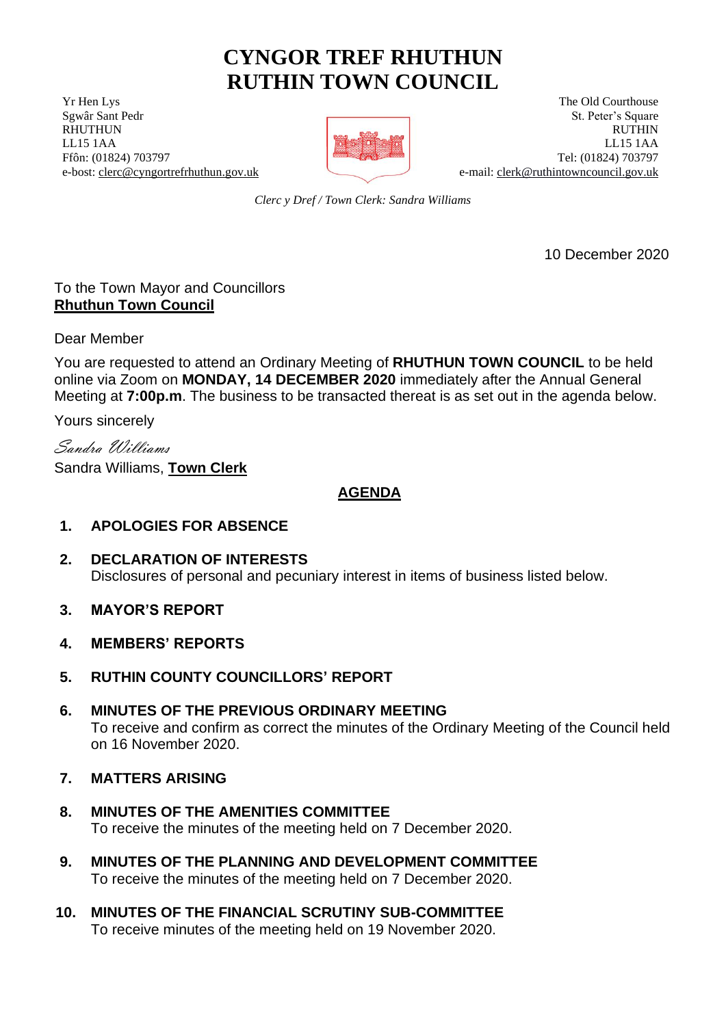# **CYNGOR TREF RHUTHUN RUTHIN TOWN COUNCIL**

**The Old Courthouse** The Old Courthouse The Old Courthouse The Old Courthouse



Serval Sant Pedr St. Peter's Square RHUTHUN RUTHIN RUTHIN RUTHIN RUTHIN LL15 1AA LL15 1AA Ffôn: (01824) 703797 Tel: (01824) 703797 e-bost: [clerc@cyngortrefrhuthun.gov.uk](mailto:clerc@cyngortrefrhuthun.gov.uk) e-mail[: clerk@ruthintowncouncil.gov.uk](mailto:clerk@ruthintowncouncil.gov.uk)

*Clerc y Dref / Town Clerk: Sandra Williams*

10 December 2020

## To the Town Mayor and Councillors **Rhuthun Town Council**

Dear Member

You are requested to attend an Ordinary Meeting of **RHUTHUN TOWN COUNCIL** to be held online via Zoom on **MONDAY, 14 DECEMBER 2020** immediately after the Annual General Meeting at **7:00p.m**. The business to be transacted thereat is as set out in the agenda below.

Yours sincerely

Sandra Williams

Sandra Williams, **Town Clerk**

# **AGENDA**

# **1. APOLOGIES FOR ABSENCE**

- **2. DECLARATION OF INTERESTS** Disclosures of personal and pecuniary interest in items of business listed below.
- **3. MAYOR'S REPORT**
- **4. MEMBERS' REPORTS**
- **5. RUTHIN COUNTY COUNCILLORS' REPORT**
- **6. MINUTES OF THE PREVIOUS ORDINARY MEETING** To receive and confirm as correct the minutes of the Ordinary Meeting of the Council held on 16 November 2020.
- **7. MATTERS ARISING**
- **8. MINUTES OF THE AMENITIES COMMITTEE** To receive the minutes of the meeting held on 7 December 2020.
- **9. MINUTES OF THE PLANNING AND DEVELOPMENT COMMITTEE** To receive the minutes of the meeting held on 7 December 2020.
- **10. MINUTES OF THE FINANCIAL SCRUTINY SUB-COMMITTEE** To receive minutes of the meeting held on 19 November 2020.